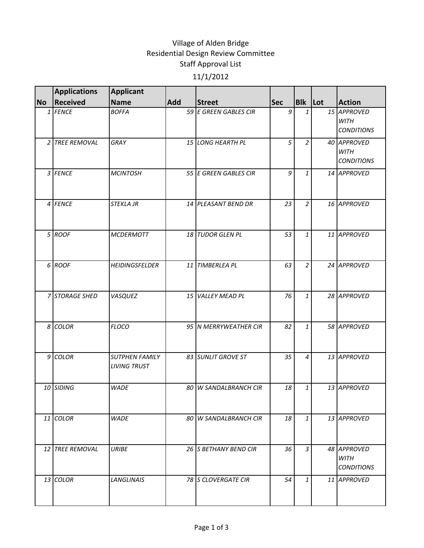## Village of Alden Bridge Residential Design Review Committee Staff Approval List 11/1/2012

|           | <b>Applications</b>    | <b>Applicant</b>                             |            |                           |            |                |                                                 |
|-----------|------------------------|----------------------------------------------|------------|---------------------------|------------|----------------|-------------------------------------------------|
| <b>No</b> | Received               | <b>Name</b>                                  | <b>Add</b> | <b>Street</b>             | <b>Sec</b> | Blk Lot        | <b>Action</b>                                   |
|           | 1 FENCE                | <b>BOFFA</b>                                 |            | 59 E GREEN GABLES CIR     | 9          | $\mathbf{1}$   | 15 APPROVED<br><b>WITH</b><br><b>CONDITIONS</b> |
|           | 2 TREE REMOVAL         | GRAY                                         |            | 15 LONG HEARTH PL         | 5          | $\overline{a}$ | 40 APPROVED<br><b>WITH</b><br><b>CONDITIONS</b> |
|           | 3 FENCE                | <b>MCINTOSH</b>                              |            | 55 E GREEN GABLES CIR     | 9          | $\mathbf{1}$   | 14 APPROVED                                     |
|           | 4 FENCE                | <b>STEKLA JR</b>                             |            | 14 PLEASANT BEND DR       | 23         | $\overline{2}$ | 16 APPROVED                                     |
|           | 5 ROOF                 | <b>MCDERMOTT</b>                             |            | 18 TUDOR GLEN PL          | 53         | $\mathbf{1}$   | 11 APPROVED                                     |
|           | 6 ROOF                 | <b>HEIDINGSFELDER</b>                        |            | 11 TIMBERLEA PL           | 63         | $\overline{a}$ | 24 APPROVED                                     |
|           | 7 STORAGE SHED         | VASQUEZ                                      |            | 15 VALLEY MEAD PL         | 76         | $\mathbf{1}$   | 28 APPROVED                                     |
|           | 8 COLOR                | <b>FLOCO</b>                                 |            | 95 N MERRYWEATHER CIR     | 82         | $\mathbf{1}$   | 58 APPROVED                                     |
|           | $9$ COLOR              | <b>SUTPHEN FAMILY</b><br><b>LIVING TRUST</b> |            | 83 SUNLIT GROVE ST        | 35         | $\overline{4}$ | 13 APPROVED                                     |
|           | 10 SIDING              | <b>WADE</b>                                  | 80         | <b>W SANDALBRANCH CIR</b> | 18         | 1              | 13 APPROVED                                     |
|           | 11 COLOR               | <b>WADE</b>                                  |            | 80 W SANDALBRANCH CIR     | 18         | $\mathbf{1}$   | 13 APPROVED                                     |
|           | <b>12 TREE REMOVAL</b> | <b>URIBE</b>                                 |            | 26 S BETHANY BEND CIR     | 36         | $\mathfrak{Z}$ | 48 APPROVED<br>WITH<br><i>CONDITIONS</i>        |
|           | 13 COLOR               | <b>LANGLINAIS</b>                            |            | 78 S CLOVERGATE CIR       | 54         | $\mathbf{1}$   | 11 APPROVED                                     |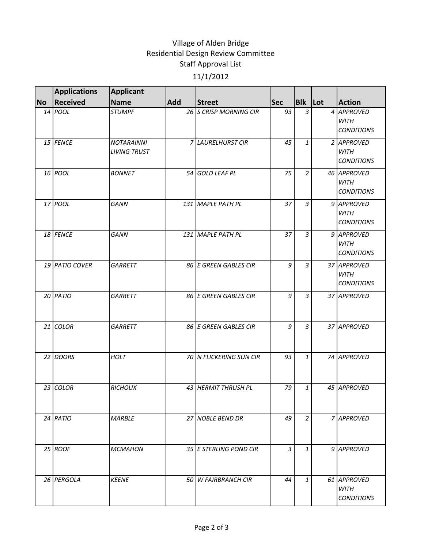## Village of Alden Bridge Residential Design Review Committee Staff Approval List 11/1/2012

|           | <b>Applications</b> | <b>Applicant</b>                         |     |                         |                |                |                                                 |
|-----------|---------------------|------------------------------------------|-----|-------------------------|----------------|----------------|-------------------------------------------------|
| <b>No</b> | <b>Received</b>     | <b>Name</b>                              | Add | <b>Street</b>           | <b>Sec</b>     | <b>Blk</b> Lot | <b>Action</b>                                   |
|           | 14 POOL             | <b>STUMPF</b>                            |     | 26 S CRISP MORNING CIR  | 93             | 3              | 4 APPROVED<br><b>WITH</b><br><b>CONDITIONS</b>  |
|           | 15 FENCE            | <b>NOTARAINNI</b><br><b>LIVING TRUST</b> |     | 7 LAURELHURST CIR       | 45             | 1              | 2 APPROVED<br><b>WITH</b><br><b>CONDITIONS</b>  |
|           | 16 POOL             | <b>BONNET</b>                            |     | 54 GOLD LEAF PL         | 75             | $\overline{2}$ | 46 APPROVED<br><b>WITH</b><br><b>CONDITIONS</b> |
|           | 17 POOL             | <b>GANN</b>                              |     | 131 MAPLE PATH PL       | 37             | $\overline{3}$ | 9 APPROVED<br><b>WITH</b><br><b>CONDITIONS</b>  |
|           | 18 FENCE            | <b>GANN</b>                              |     | 131 MAPLE PATH PL       | 37             | 3              | 9 APPROVED<br><b>WITH</b><br><b>CONDITIONS</b>  |
|           | 19 PATIO COVER      | <b>GARRETT</b>                           |     | 86 E GREEN GABLES CIR   | 9              | $\overline{3}$ | 37 APPROVED<br><b>WITH</b><br><b>CONDITIONS</b> |
|           | 20 PATIO            | <b>GARRETT</b>                           |     | 86 E GREEN GABLES CIR   | 9              | $\overline{3}$ | 37 APPROVED                                     |
|           | 21 COLOR            | <b>GARRETT</b>                           |     | 86 E GREEN GABLES CIR   | 9              | $\overline{3}$ | 37 APPROVED                                     |
|           | 22 DOORS            | <b>HOLT</b>                              |     | 70 N FLICKERING SUN CIR | 93             | $\mathbf{1}$   | 74 APPROVED                                     |
|           | 23 COLOR            | <b>RICHOUX</b>                           |     | 43 HERMIT THRUSH PL     | 79             | 1              | 45 APPROVED                                     |
|           | 24 PATIO            | <b>MARBLE</b>                            |     | 27 NOBLE BEND DR        | 49             | 2              | 7 APPROVED                                      |
|           | 25 ROOF             | <b>MCMAHON</b>                           |     | 35 E STERLING POND CIR  | $\overline{3}$ | $\mathbf{1}$   | 9 APPROVED                                      |
|           | 26 PERGOLA          | <b>KEENE</b>                             |     | 50 W FAIRBRANCH CIR     | 44             | 1              | 61 APPROVED<br><b>WITH</b><br><b>CONDITIONS</b> |